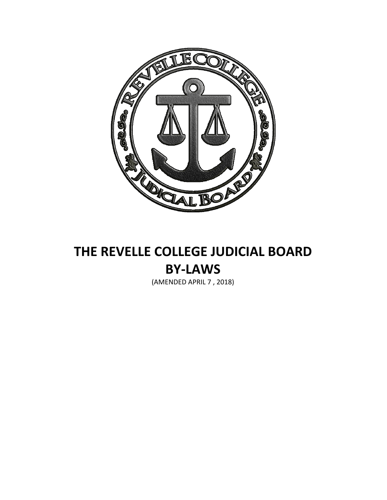

# **THE REVELLE COLLEGE JUDICIAL BOARD BY-LAWS**

(AMENDED APRIL 7 , 2018)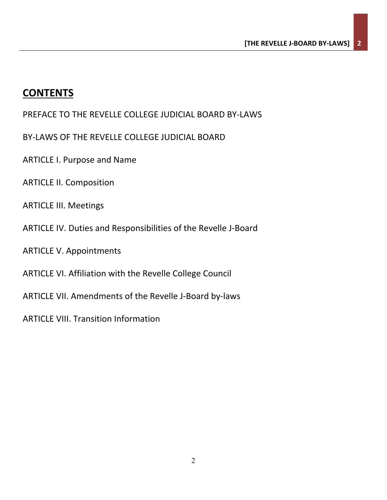# **CONTENTS**

PREFACE TO THE REVELLE COLLEGE JUDICIAL BOARD BY-LAWS

- BY-LAWS OF THE REVELLE COLLEGE JUDICIAL BOARD
- ARTICLE I. Purpose and Name
- ARTICLE II. Composition
- ARTICLE III. Meetings
- ARTICLE IV. Duties and Responsibilities of the Revelle J-Board
- ARTICLE V. Appointments
- ARTICLE VI. Affiliation with the Revelle College Council
- ARTICLE VII. Amendments of the Revelle J-Board by-laws
- ARTICLE VIII. Transition Information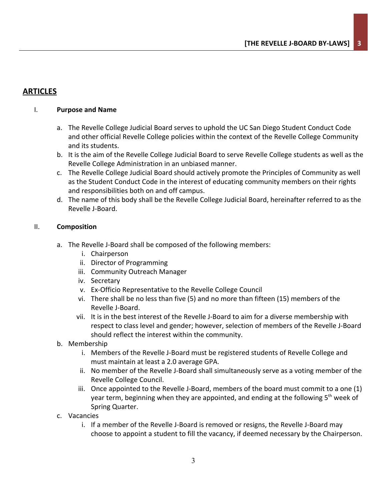# **ARTICLES**

# I. **Purpose and Name**

- a. The Revelle College Judicial Board serves to uphold the UC San Diego Student Conduct Code and other official Revelle College policies within the context of the Revelle College Community and its students.
- b. It is the aim of the Revelle College Judicial Board to serve Revelle College students as well as the Revelle College Administration in an unbiased manner.
- c. The Revelle College Judicial Board should actively promote the Principles of Community as well as the Student Conduct Code in the interest of educating community members on their rights and responsibilities both on and off campus.
- d. The name of this body shall be the Revelle College Judicial Board, hereinafter referred to as the Revelle J-Board.

# II. **Composition**

- a. The Revelle J-Board shall be composed of the following members:
	- i. Chairperson
	- ii. Director of Programming
	- iii. Community Outreach Manager
	- iv. Secretary
	- v. Ex-Officio Representative to the Revelle College Council
	- vi. There shall be no less than five (5) and no more than fifteen (15) members of the Revelle J-Board.
	- vii. It is in the best interest of the Revelle J-Board to aim for a diverse membership with respect to class level and gender; however, selection of members of the Revelle J-Board should reflect the interest within the community.
- b. Membership
	- i. Members of the Revelle J-Board must be registered students of Revelle College and must maintain at least a 2.0 average GPA.
	- ii. No member of the Revelle J-Board shall simultaneously serve as a voting member of the Revelle College Council.
	- iii. Once appointed to the Revelle J-Board, members of the board must commit to a one (1) year term, beginning when they are appointed, and ending at the following 5<sup>th</sup> week of Spring Quarter.
- c. Vacancies
	- i. If a member of the Revelle J-Board is removed or resigns, the Revelle J-Board may choose to appoint a student to fill the vacancy, if deemed necessary by the Chairperson.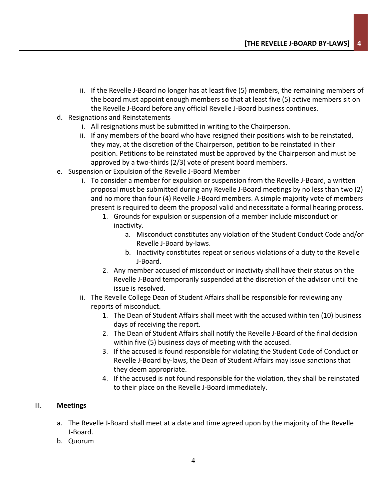- ii. If the Revelle J-Board no longer has at least five (5) members, the remaining members of the board must appoint enough members so that at least five (5) active members sit on the Revelle J-Board before any official Revelle J-Board business continues.
- d. Resignations and Reinstatements
	- i. All resignations must be submitted in writing to the Chairperson.
	- ii. If any members of the board who have resigned their positions wish to be reinstated, they may, at the discretion of the Chairperson, petition to be reinstated in their position. Petitions to be reinstated must be approved by the Chairperson and must be approved by a two-thirds (2/3) vote of present board members.
- e. Suspension or Expulsion of the Revelle J-Board Member
	- i. To consider a member for expulsion or suspension from the Revelle J-Board, a written proposal must be submitted during any Revelle J-Board meetings by no less than two (2) and no more than four (4) Revelle J-Board members. A simple majority vote of members present is required to deem the proposal valid and necessitate a formal hearing process.
		- 1. Grounds for expulsion or suspension of a member include misconduct or inactivity.
			- a. Misconduct constitutes any violation of the Student Conduct Code and/or Revelle J-Board by-laws.
			- b. Inactivity constitutes repeat or serious violations of a duty to the Revelle J-Board.
		- 2. Any member accused of misconduct or inactivity shall have their status on the Revelle J-Board temporarily suspended at the discretion of the advisor until the issue is resolved.
	- ii. The Revelle College Dean of Student Affairs shall be responsible for reviewing any reports of misconduct.
		- 1. The Dean of Student Affairs shall meet with the accused within ten (10) business days of receiving the report.
		- 2. The Dean of Student Affairs shall notify the Revelle J-Board of the final decision within five (5) business days of meeting with the accused.
		- 3. If the accused is found responsible for violating the Student Code of Conduct or Revelle J-Board by-laws, the Dean of Student Affairs may issue sanctions that they deem appropriate.
		- 4. If the accused is not found responsible for the violation, they shall be reinstated to their place on the Revelle J-Board immediately.

# III. **Meetings**

- a. The Revelle J-Board shall meet at a date and time agreed upon by the majority of the Revelle J-Board.
- b. Quorum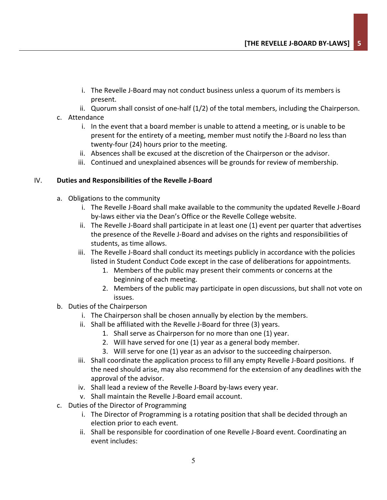- i. The Revelle J-Board may not conduct business unless a quorum of its members is present.
- ii. Quorum shall consist of one-half (1/2) of the total members, including the Chairperson.
- c. Attendance
	- i. In the event that a board member is unable to attend a meeting, or is unable to be present for the entirety of a meeting, member must notify the J-Board no less than twenty-four (24) hours prior to the meeting.
	- ii. Absences shall be excused at the discretion of the Chairperson or the advisor.
	- iii. Continued and unexplained absences will be grounds for review of membership.

# IV. **Duties and Responsibilities of the Revelle J-Board**

- a. Obligations to the community
	- i. The Revelle J-Board shall make available to the community the updated Revelle J-Board by-laws either via the Dean's Office or the Revelle College website.
	- ii. The Revelle J-Board shall participate in at least one (1) event per quarter that advertises the presence of the Revelle J-Board and advises on the rights and responsibilities of students, as time allows.
	- iii. The Revelle J-Board shall conduct its meetings publicly in accordance with the policies listed in Student Conduct Code except in the case of deliberations for appointments.
		- 1. Members of the public may present their comments or concerns at the beginning of each meeting.
		- 2. Members of the public may participate in open discussions, but shall not vote on issues.
- b. Duties of the Chairperson
	- i. The Chairperson shall be chosen annually by election by the members.
	- ii. Shall be affiliated with the Revelle J-Board for three (3) years.
		- 1. Shall serve as Chairperson for no more than one (1) year.
		- 2. Will have served for one (1) year as a general body member.
		- 3. Will serve for one (1) year as an advisor to the succeeding chairperson.
	- iii. Shall coordinate the application process to fill any empty Revelle J-Board positions. If the need should arise, may also recommend for the extension of any deadlines with the approval of the advisor.
	- iv. Shall lead a review of the Revelle J-Board by-laws every year.
	- v. Shall maintain the Revelle J-Board email account.
- c. Duties of the Director of Programming
	- i. The Director of Programming is a rotating position that shall be decided through an election prior to each event.
	- ii. Shall be responsible for coordination of one Revelle J-Board event. Coordinating an event includes: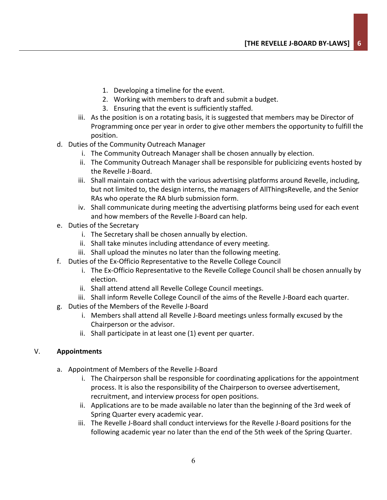- 1. Developing a timeline for the event.
- 2. Working with members to draft and submit a budget.
- 3. Ensuring that the event is sufficiently staffed.
- iii. As the position is on a rotating basis, it is suggested that members may be Director of Programming once per year in order to give other members the opportunity to fulfill the position.
- d. Duties of the Community Outreach Manager
	- i. The Community Outreach Manager shall be chosen annually by election.
	- ii. The Community Outreach Manager shall be responsible for publicizing events hosted by the Revelle J-Board.
	- iii. Shall maintain contact with the various advertising platforms around Revelle, including, but not limited to, the design interns, the managers of AllThingsRevelle, and the Senior RAs who operate the RA blurb submission form.
	- iv. Shall communicate during meeting the advertising platforms being used for each event and how members of the Revelle J-Board can help.
- e. Duties of the Secretary
	- i. The Secretary shall be chosen annually by election.
	- ii. Shall take minutes including attendance of every meeting.
	- iii. Shall upload the minutes no later than the following meeting.
- f. Duties of the Ex-Officio Representative to the Revelle College Council
	- i. The Ex-Officio Representative to the Revelle College Council shall be chosen annually by election.
	- ii. Shall attend attend all Revelle College Council meetings.
	- iii. Shall inform Revelle College Council of the aims of the Revelle J-Board each quarter.
- g. Duties of the Members of the Revelle J-Board
	- i. Members shall attend all Revelle J-Board meetings unless formally excused by the Chairperson or the advisor.
	- ii. Shall participate in at least one (1) event per quarter.

# V. **Appointments**

- a. Appointment of Members of the Revelle J-Board
	- i. The Chairperson shall be responsible for coordinating applications for the appointment process. It is also the responsibility of the Chairperson to oversee advertisement, recruitment, and interview process for open positions.
	- ii. Applications are to be made available no later than the beginning of the 3rd week of Spring Quarter every academic year.
	- iii. The Revelle J-Board shall conduct interviews for the Revelle J-Board positions for the following academic year no later than the end of the 5th week of the Spring Quarter.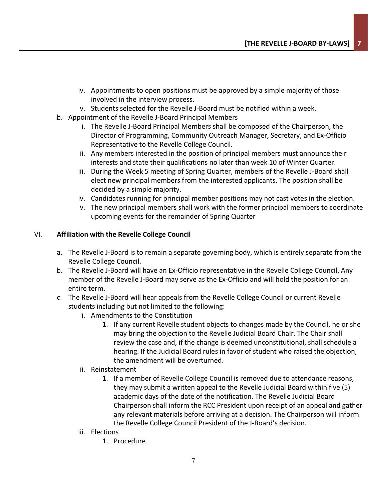- iv. Appointments to open positions must be approved by a simple majority of those involved in the interview process.
- v. Students selected for the Revelle J-Board must be notified within a week.
- b. Appointment of the Revelle J-Board Principal Members
	- i. The Revelle J-Board Principal Members shall be composed of the Chairperson, the Director of Programming, Community Outreach Manager, Secretary, and Ex-Officio Representative to the Revelle College Council.
	- ii. Any members interested in the position of principal members must announce their interests and state their qualifications no later than week 10 of Winter Quarter.
	- iii. During the Week 5 meeting of Spring Quarter, members of the Revelle J-Board shall elect new principal members from the interested applicants. The position shall be decided by a simple majority.
	- iv. Candidates running for principal member positions may not cast votes in the election.
	- v. The new principal members shall work with the former principal members to coordinate upcoming events for the remainder of Spring Quarter

# VI. **Affiliation with the Revelle College Council**

- a. The Revelle J-Board is to remain a separate governing body, which is entirely separate from the Revelle College Council.
- b. The Revelle J-Board will have an Ex-Officio representative in the Revelle College Council. Any member of the Revelle J-Board may serve as the Ex-Officio and will hold the position for an entire term.
- c. The Revelle J-Board will hear appeals from the Revelle College Council or current Revelle students including but not limited to the following:
	- i. Amendments to the Constitution
		- 1. If any current Revelle student objects to changes made by the Council, he or she may bring the objection to the Revelle Judicial Board Chair. The Chair shall review the case and, if the change is deemed unconstitutional, shall schedule a hearing. If the Judicial Board rules in favor of student who raised the objection, the amendment will be overturned.

# ii. Reinstatement

- 1. If a member of Revelle College Council is removed due to attendance reasons, they may submit a written appeal to the Revelle Judicial Board within five (5) academic days of the date of the notification. The Revelle Judicial Board Chairperson shall inform the RCC President upon receipt of an appeal and gather any relevant materials before arriving at a decision. The Chairperson will inform the Revelle College Council President of the J-Board's decision.
- iii. Elections
	- 1. Procedure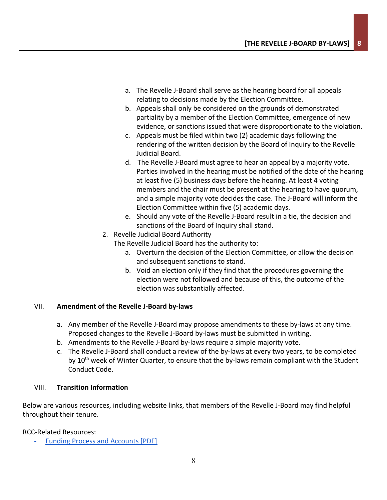- a. The Revelle J-Board shall serve as the hearing board for all appeals relating to decisions made by the Election Committee.
- b. Appeals shall only be considered on the grounds of demonstrated partiality by a member of the Election Committee, emergence of new evidence, or sanctions issued that were disproportionate to the violation.
- c. Appeals must be filed within two (2) academic days following the rendering of the written decision by the Board of Inquiry to the Revelle Judicial Board.
- d. The Revelle J-Board must agree to hear an appeal by a majority vote. Parties involved in the hearing must be notified of the date of the hearing at least five (5) business days before the hearing. At least 4 voting members and the chair must be present at the hearing to have quorum, and a simple majority vote decides the case. The J-Board will inform the Election Committee within five (5) academic days.
- e. Should any vote of the Revelle J-Board result in a tie, the decision and sanctions of the Board of Inquiry shall stand.
- 2. Revelle Judicial Board Authority

The Revelle Judicial Board has the authority to:

- a. Overturn the decision of the Election Committee, or allow the decision and subsequent sanctions to stand.
- b. Void an election only if they find that the procedures governing the election were not followed and because of this, the outcome of the election was substantially affected.

# VII. **Amendment of the Revelle J-Board by-laws**

- a. Any member of the Revelle J-Board may propose amendments to these by-laws at any time. Proposed changes to the Revelle J-Board by-laws must be submitted in writing.
- b. Amendments to the Revelle J-Board by-laws require a simple majority vote.
- c. The Revelle J-Board shall conduct a review of the by-laws at every two years, to be completed by 10<sup>th</sup> week of Winter Quarter, to ensure that the by-laws remain compliant with the Student Conduct Code.

# VIII. **Transition Information**

Below are various resources, including website links, that members of the Revelle J-Board may find helpful throughout their tenure.

RCC-Related Resources:

[Funding Process and Accounts](http://revelle.ucsd.edu/_files/student-life/involvement/student-govt/rcc/fund-proc-acct-feb20-2014.pdf) [PDF]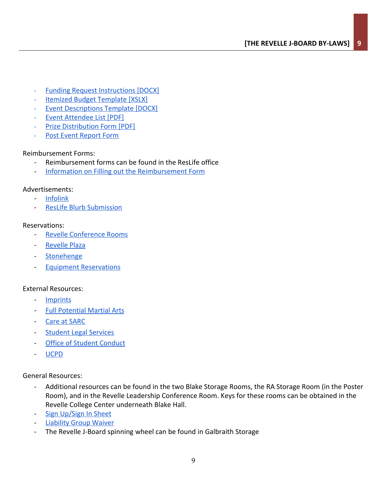- **[Funding Request Instructions](http://revelle.ucsd.edu/_files/student-life/involvement/student-govt/rcc/rcc-fund-req-instr-201516.docx) [DOCX]**
- [Itemized Budget Template](http://revelle.ucsd.edu/_files/student-life/involvement/finance/rcc-fin-budget-template.xlsx) [XSLX]
- **[Event Descriptions Template](http://revelle.ucsd.edu/_files/student-life/involvement/finance/rcc-fin-event-descrip-template.docx) [DOCX]**
- [Event Attendee List](http://revelle.ucsd.edu/_files/student-life/involvement/student-govt/rcc/event-attendee-list-feb27-2014.pdf) [PDF]
- **[Prize Distribution Form](http://revelle.ucsd.edu/_files/student-life/involvement/finance/prize-dist-form-june24-2014.pdf) [PDF]**
- [Post Event Report Form](http://revelle.ucsd.edu/student-life/involvement/student-govt/post-event-report-form.html)

#### Reimbursement Forms:

- Reimbursement forms can be found in the ResLife office
- [Information on Filling out the Reimbursement Form](https://docs.google.com/viewer?a=v&pid=sites&srcid=ZGVmYXVsdGRvbWFpbnx1Y3NkcmhhfGd4OjQwMzllOTQzMjkyYWI4Mzc)

#### Advertisements:

- [Infolink](https://revelle.ucsd.edu/student-life/resources/infolink-submission.html)
- [ResLife Blurb Submission](https://docs.google.com/forms/d/e/1FAIpQLSdfYvOVj8sL7beSvlB1T12RRP6eXgTRXdeRJKLNIRNtGKmvCw/viewform?c=0&w=1)

#### Reservations:

- [Revelle Conference Rooms](https://docs.google.com/forms/d/1T9_3r0RQT6uNHQutVyTVC0Qr3VMU_av46Oa8jyB9tuc/viewform)
- [Revelle Plaza](http://revelle.ucsd.edu/student-life/resources/plaza-form.html)
- [Stonehenge](http://revelle.ucsd.edu/student-life/resources/lajolla-project.html)
- **[Equipment Reservations](http://goo.gl/forms/fgtTW394vp)**

# External Resources:

- [Imprints](http://blink.ucsd.edu/sponsor/imprints/index.html)
- [Full Potential Martial Arts](http://www.fullpotentialma.com/)
- [Care at SARC](https://students.ucsd.edu/sponsor/sarc/)
- **[Student Legal Services](https://students.ucsd.edu/sponsor/student-legal/)**
- [Office of Student Conduct](https://students.ucsd.edu/sponsor/student-conduct/)
- [UCPD](https://police.ucsd.edu/)

General Resources:

- Additional resources can be found in the two Blake Storage Rooms, the RA Storage Room (in the Poster Room), and in the Revelle Leadership Conference Room. Keys for these rooms can be obtained in the Revelle College Center underneath Blake Hall.
- [Sign Up/Sign In Sheet](https://drive.google.com/open?id=1513_ylCTbKY6vHE2Ikk-k3zQHO955W7B)
- [Liability Group Waiver](https://docs.google.com/viewer?a=v&pid=sites&srcid=ZGVmYXVsdGRvbWFpbnx1Y3NkcmhhfGd4OjNjMzczMjk2YmNiOGFkOGI)
- The Revelle J-Board spinning wheel can be found in Galbraith Storage